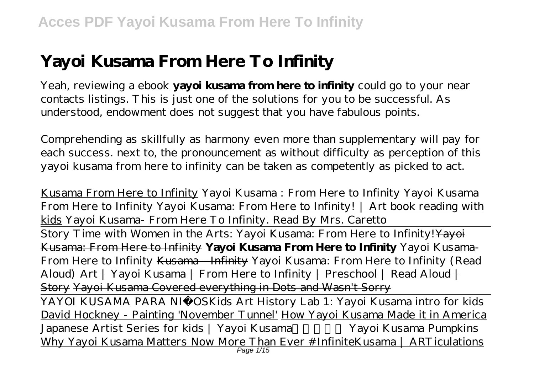# **Yayoi Kusama From Here To Infinity**

Yeah, reviewing a ebook **yayoi kusama from here to infinity** could go to your near contacts listings. This is just one of the solutions for you to be successful. As understood, endowment does not suggest that you have fabulous points.

Comprehending as skillfully as harmony even more than supplementary will pay for each success. next to, the pronouncement as without difficulty as perception of this yayoi kusama from here to infinity can be taken as competently as picked to act.

Kusama From Here to Infinity Yayoi Kusama : From Here to Infinity Yayoi Kusama From Here to Infinity Yayoi Kusama: From Here to Infinity! | Art book reading with kids *Yayoi Kusama- From Here To Infinity. Read By Mrs. Caretto* Story Time with Women in the Arts: Yayoi Kusama: From Here to Infinity! Yayoi Kusama: From Here to Infinity **Yayoi Kusama From Here to Infinity** Yayoi Kusama-From Here to Infinity Kusama - Infinity Yayoi Kusama: From Here to Infinity (Read Aloud) Art | Yayoi Kusama | From Here to Infinity | Preschool | Read Aloud | Story Yayoi Kusama Covered everything in Dots and Wasn't Sorry YAYOI KUSAMA PARA NIÑOS*Kids Art History Lab 1: Yayoi Kusama intro for kids* David Hockney - Painting 'November Tunnel' How Yayoi Kusama Made it in America *Japanese Artist Series for kids | Yayoi Kusama* Yayoi Kusama Pumpkins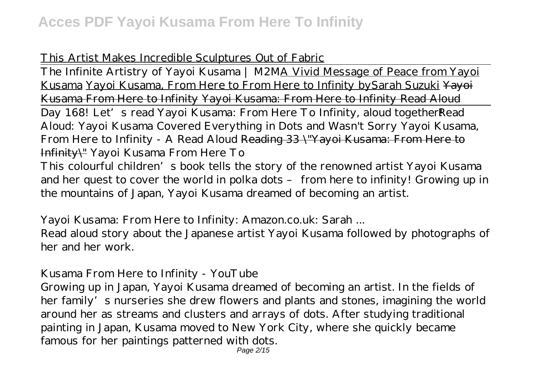### This Artist Makes Incredible Sculptures Out of Fabric

The Infinite Artistry of Yayoi Kusama | M2MA Vivid Message of Peace from Yayoi Kusama Yayoi Kusama, From Here to From Here to Infinity bySarah Suzuki Yayoi Kusama From Here to Infinity Yayoi Kusama: From Here to Infinity Read Aloud Day 168! Let's read Yayoi Kusama: From Here To Infinity, aloud together*Read Aloud: Yayoi Kusama Covered Everything in Dots and Wasn't Sorry Yayoi Kusama, From Here to Infinity - A Read Aloud* Reading 33 \"Yayoi Kusama: From Here to Infinity\" *Yayoi Kusama From Here To*

This colourful children's book tells the story of the renowned artist Yayoi Kusama and her quest to cover the world in polka dots – from here to infinity! Growing up in the mountains of Japan, Yayoi Kusama dreamed of becoming an artist.

### *Yayoi Kusama: From Here to Infinity: Amazon.co.uk: Sarah ...*

Read aloud story about the Japanese artist Yayoi Kusama followed by photographs of her and her work.

### *Kusama From Here to Infinity - YouTube*

Growing up in Japan, Yayoi Kusama dreamed of becoming an artist. In the fields of her family's nurseries she drew flowers and plants and stones, imagining the world around her as streams and clusters and arrays of dots. After studying traditional painting in Japan, Kusama moved to New York City, where she quickly became famous for her paintings patterned with dots.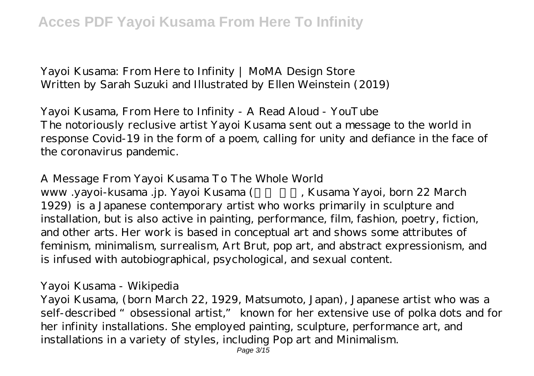*Yayoi Kusama: From Here to Infinity | MoMA Design Store* Written by Sarah Suzuki and Illustrated by Ellen Weinstein (2019)

*Yayoi Kusama, From Here to Infinity - A Read Aloud - YouTube* The notoriously reclusive artist Yayoi Kusama sent out a message to the world in response Covid-19 in the form of a poem, calling for unity and defiance in the face of the coronavirus pandemic.

*A Message From Yayoi Kusama To The Whole World*

www .yayoi-kusama .jp. Yayoi Kusama (Kusama Yayoi, born 22 March 1929) is a Japanese contemporary artist who works primarily in sculpture and installation, but is also active in painting, performance, film, fashion, poetry, fiction, and other arts. Her work is based in conceptual art and shows some attributes of feminism, minimalism, surrealism, Art Brut, pop art, and abstract expressionism, and is infused with autobiographical, psychological, and sexual content.

#### *Yayoi Kusama - Wikipedia*

Yayoi Kusama, (born March 22, 1929, Matsumoto, Japan), Japanese artist who was a self-described "obsessional artist," known for her extensive use of polka dots and for her infinity installations. She employed painting, sculpture, performance art, and installations in a variety of styles, including Pop art and Minimalism.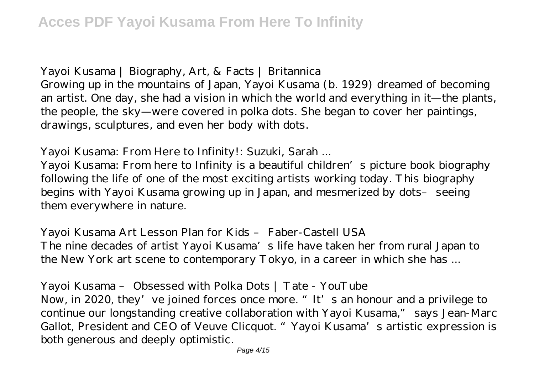### *Yayoi Kusama | Biography, Art, & Facts | Britannica*

Growing up in the mountains of Japan, Yayoi Kusama (b. 1929) dreamed of becoming an artist. One day, she had a vision in which the world and everything in it—the plants, the people, the sky—were covered in polka dots. She began to cover her paintings, drawings, sculptures, and even her body with dots.

### *Yayoi Kusama: From Here to Infinity!: Suzuki, Sarah ...*

Yayoi Kusama: From here to Infinity is a beautiful children's picture book biography following the life of one of the most exciting artists working today. This biography begins with Yayoi Kusama growing up in Japan, and mesmerized by dots– seeing them everywhere in nature.

### *Yayoi Kusama Art Lesson Plan for Kids – Faber-Castell USA* The nine decades of artist Yayoi Kusama's life have taken her from rural Japan to the New York art scene to contemporary Tokyo, in a career in which she has ...

### *Yayoi Kusama – Obsessed with Polka Dots | Tate - YouTube*

Now, in 2020, they've joined forces once more. "It's an honour and a privilege to continue our longstanding creative collaboration with Yayoi Kusama," says Jean-Marc Gallot, President and CEO of Veuve Clicquot. "Yayoi Kusama's artistic expression is both generous and deeply optimistic.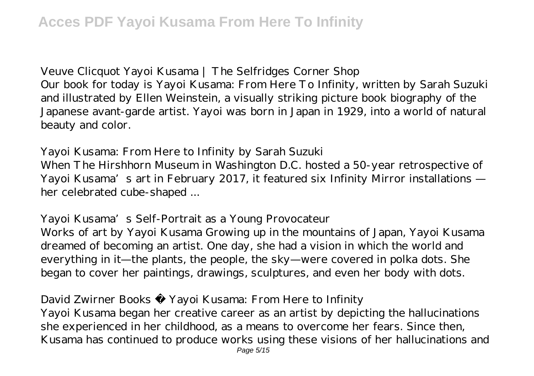### *Veuve Clicquot Yayoi Kusama | The Selfridges Corner Shop*

Our book for today is Yayoi Kusama: From Here To Infinity, written by Sarah Suzuki and illustrated by Ellen Weinstein, a visually striking picture book biography of the Japanese avant-garde artist. Yayoi was born in Japan in 1929, into a world of natural beauty and color.

### *Yayoi Kusama: From Here to Infinity by Sarah Suzuki*

When The Hirshhorn Museum in Washington D.C. hosted a 50-year retrospective of Yayoi Kusama's art in February 2017, it featured six Infinity Mirror installations her celebrated cube-shaped ...

### *Yayoi Kusama's Self-Portrait as a Young Provocateur*

Works of art by Yayoi Kusama Growing up in the mountains of Japan, Yayoi Kusama dreamed of becoming an artist. One day, she had a vision in which the world and everything in it—the plants, the people, the sky—were covered in polka dots. She began to cover her paintings, drawings, sculptures, and even her body with dots.

### *David Zwirner Books · Yayoi Kusama: From Here to Infinity*

Yayoi Kusama began her creative career as an artist by depicting the hallucinations she experienced in her childhood, as a means to overcome her fears. Since then, Kusama has continued to produce works using these visions of her hallucinations and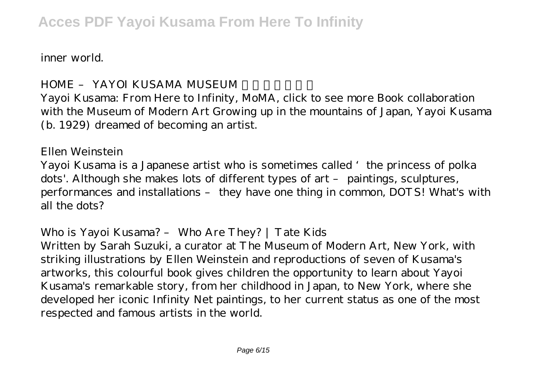inner world.

### *HOME – YAYOI KUSAMA MUSEUM*

Yayoi Kusama: From Here to Infinity, MoMA, click to see more Book collaboration with the Museum of Modern Art Growing up in the mountains of Japan, Yayoi Kusama (b. 1929) dreamed of becoming an artist.

#### *Ellen Weinstein*

Yayoi Kusama is a Japanese artist who is sometimes called 'the princess of polka dots'. Although she makes lots of different types of art – paintings, sculptures, performances and installations – they have one thing in common, DOTS! What's with all the dots?

#### *Who is Yayoi Kusama? – Who Are They? | Tate Kids*

Written by Sarah Suzuki, a curator at The Museum of Modern Art, New York, with striking illustrations by Ellen Weinstein and reproductions of seven of Kusama's artworks, this colourful book gives children the opportunity to learn about Yayoi Kusama's remarkable story, from her childhood in Japan, to New York, where she developed her iconic Infinity Net paintings, to her current status as one of the most respected and famous artists in the world.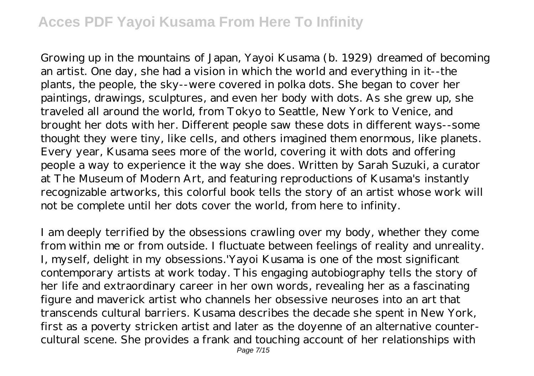Growing up in the mountains of Japan, Yayoi Kusama (b. 1929) dreamed of becoming an artist. One day, she had a vision in which the world and everything in it--the plants, the people, the sky--were covered in polka dots. She began to cover her paintings, drawings, sculptures, and even her body with dots. As she grew up, she traveled all around the world, from Tokyo to Seattle, New York to Venice, and brought her dots with her. Different people saw these dots in different ways--some thought they were tiny, like cells, and others imagined them enormous, like planets. Every year, Kusama sees more of the world, covering it with dots and offering people a way to experience it the way she does. Written by Sarah Suzuki, a curator at The Museum of Modern Art, and featuring reproductions of Kusama's instantly recognizable artworks, this colorful book tells the story of an artist whose work will not be complete until her dots cover the world, from here to infinity.

I am deeply terrified by the obsessions crawling over my body, whether they come from within me or from outside. I fluctuate between feelings of reality and unreality. I, myself, delight in my obsessions.'Yayoi Kusama is one of the most significant contemporary artists at work today. This engaging autobiography tells the story of her life and extraordinary career in her own words, revealing her as a fascinating figure and maverick artist who channels her obsessive neuroses into an art that transcends cultural barriers. Kusama describes the decade she spent in New York, first as a poverty stricken artist and later as the doyenne of an alternative countercultural scene. She provides a frank and touching account of her relationships with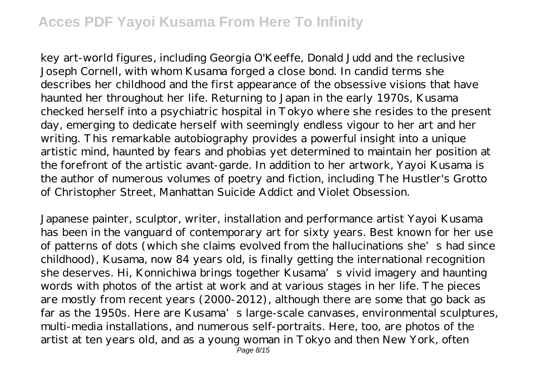key art-world figures, including Georgia O'Keeffe, Donald Judd and the reclusive Joseph Cornell, with whom Kusama forged a close bond. In candid terms she describes her childhood and the first appearance of the obsessive visions that have haunted her throughout her life. Returning to Japan in the early 1970s, Kusama checked herself into a psychiatric hospital in Tokyo where she resides to the present day, emerging to dedicate herself with seemingly endless vigour to her art and her writing. This remarkable autobiography provides a powerful insight into a unique artistic mind, haunted by fears and phobias yet determined to maintain her position at the forefront of the artistic avant-garde. In addition to her artwork, Yayoi Kusama is the author of numerous volumes of poetry and fiction, including The Hustler's Grotto of Christopher Street, Manhattan Suicide Addict and Violet Obsession.

Japanese painter, sculptor, writer, installation and performance artist Yayoi Kusama has been in the vanguard of contemporary art for sixty years. Best known for her use of patterns of dots (which she claims evolved from the hallucinations she's had since childhood), Kusama, now 84 years old, is finally getting the international recognition she deserves. Hi, Konnichiwa brings together Kusama's vivid imagery and haunting words with photos of the artist at work and at various stages in her life. The pieces are mostly from recent years (2000-2012), although there are some that go back as far as the 1950s. Here are Kusama's large-scale canvases, environmental sculptures, multi-media installations, and numerous self-portraits. Here, too, are photos of the artist at ten years old, and as a young woman in Tokyo and then New York, often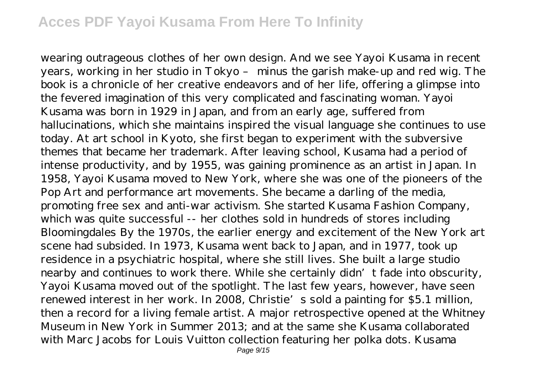wearing outrageous clothes of her own design. And we see Yayoi Kusama in recent years, working in her studio in Tokyo – minus the garish make-up and red wig. The book is a chronicle of her creative endeavors and of her life, offering a glimpse into the fevered imagination of this very complicated and fascinating woman. Yayoi Kusama was born in 1929 in Japan, and from an early age, suffered from hallucinations, which she maintains inspired the visual language she continues to use today. At art school in Kyoto, she first began to experiment with the subversive themes that became her trademark. After leaving school, Kusama had a period of intense productivity, and by 1955, was gaining prominence as an artist in Japan. In 1958, Yayoi Kusama moved to New York, where she was one of the pioneers of the Pop Art and performance art movements. She became a darling of the media, promoting free sex and anti-war activism. She started Kusama Fashion Company, which was quite successful -- her clothes sold in hundreds of stores including Bloomingdales By the 1970s, the earlier energy and excitement of the New York art scene had subsided. In 1973, Kusama went back to Japan, and in 1977, took up residence in a psychiatric hospital, where she still lives. She built a large studio nearby and continues to work there. While she certainly didn't fade into obscurity, Yayoi Kusama moved out of the spotlight. The last few years, however, have seen renewed interest in her work. In 2008, Christie's sold a painting for \$5.1 million, then a record for a living female artist. A major retrospective opened at the Whitney Museum in New York in Summer 2013; and at the same she Kusama collaborated with Marc Jacobs for Louis Vuitton collection featuring her polka dots. Kusama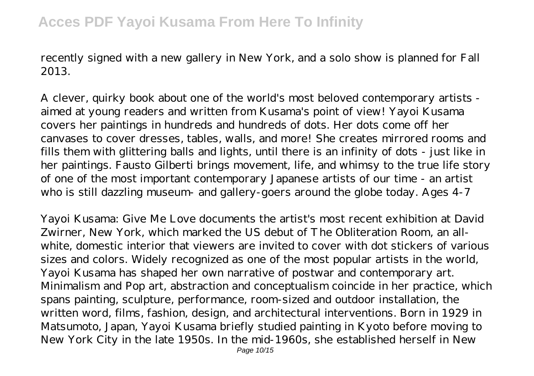recently signed with a new gallery in New York, and a solo show is planned for Fall 2013.

A clever, quirky book about one of the world's most beloved contemporary artists aimed at young readers and written from Kusama's point of view! Yayoi Kusama covers her paintings in hundreds and hundreds of dots. Her dots come off her canvases to cover dresses, tables, walls, and more! She creates mirrored rooms and fills them with glittering balls and lights, until there is an infinity of dots - just like in her paintings. Fausto Gilberti brings movement, life, and whimsy to the true life story of one of the most important contemporary Japanese artists of our time - an artist who is still dazzling museum- and gallery-goers around the globe today. Ages 4-7

Yayoi Kusama: Give Me Love documents the artist's most recent exhibition at David Zwirner, New York, which marked the US debut of The Obliteration Room, an allwhite, domestic interior that viewers are invited to cover with dot stickers of various sizes and colors. Widely recognized as one of the most popular artists in the world, Yayoi Kusama has shaped her own narrative of postwar and contemporary art. Minimalism and Pop art, abstraction and conceptualism coincide in her practice, which spans painting, sculpture, performance, room-sized and outdoor installation, the written word, films, fashion, design, and architectural interventions. Born in 1929 in Matsumoto, Japan, Yayoi Kusama briefly studied painting in Kyoto before moving to New York City in the late 1950s. In the mid-1960s, she established herself in New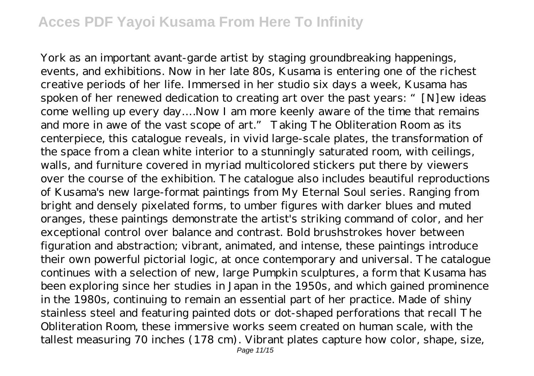York as an important avant-garde artist by staging groundbreaking happenings, events, and exhibitions. Now in her late 80s, Kusama is entering one of the richest creative periods of her life. Immersed in her studio six days a week, Kusama has spoken of her renewed dedication to creating art over the past years: "[N]ew ideas come welling up every day….Now I am more keenly aware of the time that remains and more in awe of the vast scope of art." Taking The Obliteration Room as its centerpiece, this catalogue reveals, in vivid large-scale plates, the transformation of the space from a clean white interior to a stunningly saturated room, with ceilings, walls, and furniture covered in myriad multicolored stickers put there by viewers over the course of the exhibition. The catalogue also includes beautiful reproductions of Kusama's new large-format paintings from My Eternal Soul series. Ranging from bright and densely pixelated forms, to umber figures with darker blues and muted oranges, these paintings demonstrate the artist's striking command of color, and her exceptional control over balance and contrast. Bold brushstrokes hover between figuration and abstraction; vibrant, animated, and intense, these paintings introduce their own powerful pictorial logic, at once contemporary and universal. The catalogue continues with a selection of new, large Pumpkin sculptures, a form that Kusama has been exploring since her studies in Japan in the 1950s, and which gained prominence in the 1980s, continuing to remain an essential part of her practice. Made of shiny stainless steel and featuring painted dots or dot-shaped perforations that recall The Obliteration Room, these immersive works seem created on human scale, with the tallest measuring 70 inches (178 cm). Vibrant plates capture how color, shape, size,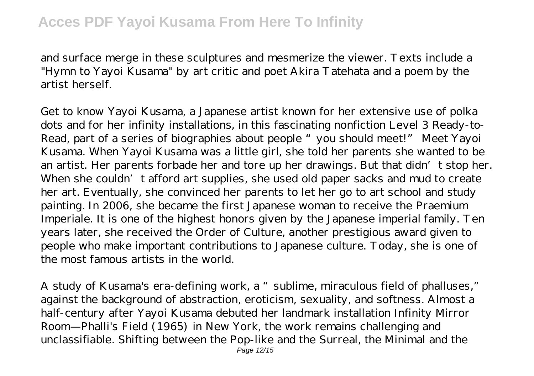and surface merge in these sculptures and mesmerize the viewer. Texts include a "Hymn to Yayoi Kusama" by art critic and poet Akira Tatehata and a poem by the artist herself.

Get to know Yayoi Kusama, a Japanese artist known for her extensive use of polka dots and for her infinity installations, in this fascinating nonfiction Level 3 Ready-to-Read, part of a series of biographies about people "you should meet!" Meet Yayoi Kusama. When Yayoi Kusama was a little girl, she told her parents she wanted to be an artist. Her parents forbade her and tore up her drawings. But that didn't stop her. When she couldn't afford art supplies, she used old paper sacks and mud to create her art. Eventually, she convinced her parents to let her go to art school and study painting. In 2006, she became the first Japanese woman to receive the Praemium Imperiale. It is one of the highest honors given by the Japanese imperial family. Ten years later, she received the Order of Culture, another prestigious award given to people who make important contributions to Japanese culture. Today, she is one of the most famous artists in the world.

A study of Kusama's era-defining work, a "sublime, miraculous field of phalluses," against the background of abstraction, eroticism, sexuality, and softness. Almost a half-century after Yayoi Kusama debuted her landmark installation Infinity Mirror Room—Phalli's Field (1965) in New York, the work remains challenging and unclassifiable. Shifting between the Pop-like and the Surreal, the Minimal and the Page 12/15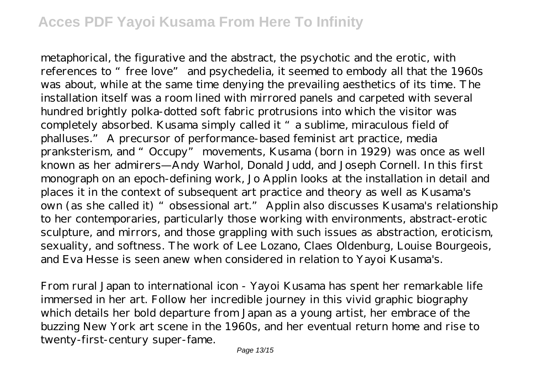metaphorical, the figurative and the abstract, the psychotic and the erotic, with references to "free love" and psychedelia, it seemed to embody all that the 1960s was about, while at the same time denying the prevailing aesthetics of its time. The installation itself was a room lined with mirrored panels and carpeted with several hundred brightly polka-dotted soft fabric protrusions into which the visitor was completely absorbed. Kusama simply called it "a sublime, miraculous field of phalluses." A precursor of performance-based feminist art practice, media pranksterism, and "Occupy" movements, Kusama (born in 1929) was once as well known as her admirers—Andy Warhol, Donald Judd, and Joseph Cornell. In this first monograph on an epoch-defining work, Jo Applin looks at the installation in detail and places it in the context of subsequent art practice and theory as well as Kusama's own (as she called it) "obsessional art." Applin also discusses Kusama's relationship to her contemporaries, particularly those working with environments, abstract-erotic sculpture, and mirrors, and those grappling with such issues as abstraction, eroticism, sexuality, and softness. The work of Lee Lozano, Claes Oldenburg, Louise Bourgeois, and Eva Hesse is seen anew when considered in relation to Yayoi Kusama's.

From rural Japan to international icon - Yayoi Kusama has spent her remarkable life immersed in her art. Follow her incredible journey in this vivid graphic biography which details her bold departure from Japan as a young artist, her embrace of the buzzing New York art scene in the 1960s, and her eventual return home and rise to twenty-first-century super-fame.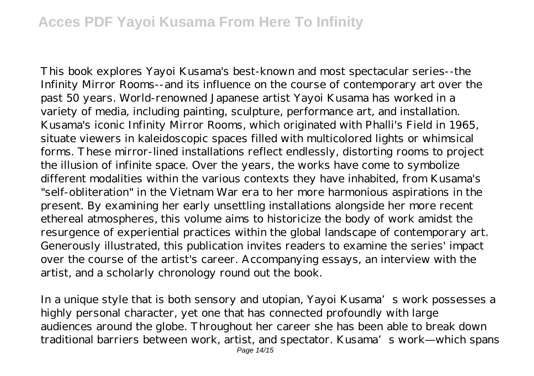This book explores Yayoi Kusama's best-known and most spectacular series--the Infinity Mirror Rooms--and its influence on the course of contemporary art over the past 50 years. World-renowned Japanese artist Yayoi Kusama has worked in a variety of media, including painting, sculpture, performance art, and installation. Kusama's iconic Infinity Mirror Rooms, which originated with Phalli's Field in 1965, situate viewers in kaleidoscopic spaces filled with multicolored lights or whimsical forms. These mirror-lined installations reflect endlessly, distorting rooms to project the illusion of infinite space. Over the years, the works have come to symbolize different modalities within the various contexts they have inhabited, from Kusama's "self-obliteration" in the Vietnam War era to her more harmonious aspirations in the present. By examining her early unsettling installations alongside her more recent ethereal atmospheres, this volume aims to historicize the body of work amidst the resurgence of experiential practices within the global landscape of contemporary art. Generously illustrated, this publication invites readers to examine the series' impact over the course of the artist's career. Accompanying essays, an interview with the artist, and a scholarly chronology round out the book.

In a unique style that is both sensory and utopian, Yayoi Kusama's work possesses a highly personal character, yet one that has connected profoundly with large audiences around the globe. Throughout her career she has been able to break down traditional barriers between work, artist, and spectator. Kusama's work—which spans